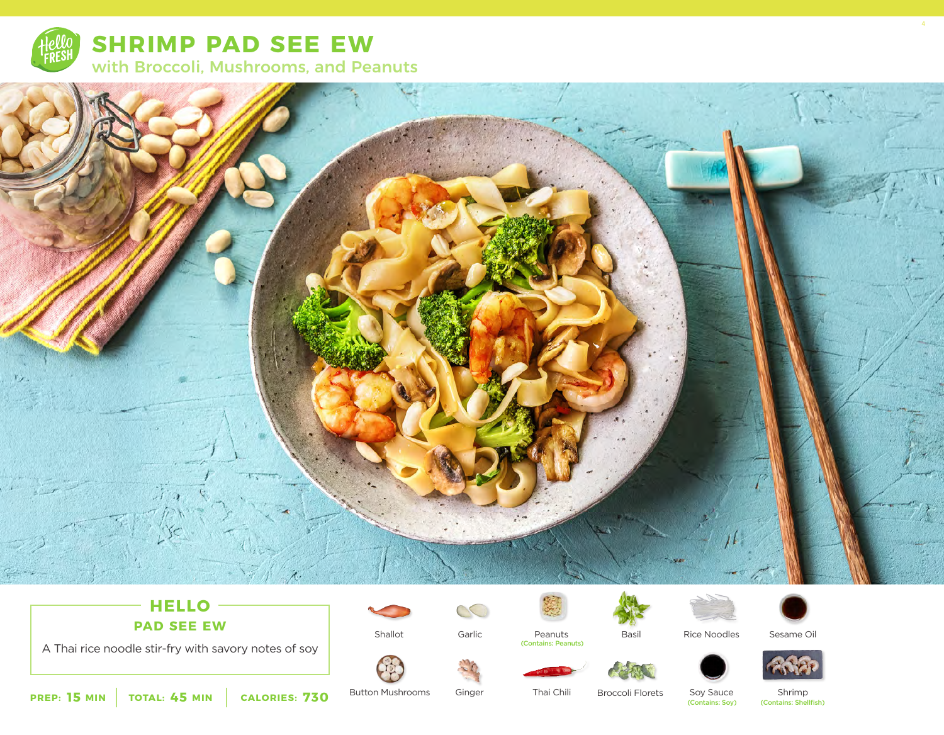



# **HELLO PAD SEE EW**

A Thai rice noodle stir-fry with savory notes of soy



Garlic

S



Shallot Basil Peanuts (Contains: Peanuts)

Rice Noodles





4

**15 45 730** Broccoli Florets (Contains: Shellfish) **PREP: MIN TOTAL: MIN CALORIES:**

Button Mushrooms

Ginger

Thai Chili

Soy Sauce (Contains: Soy)

Shrimp<br>(Contains: Shellfish)